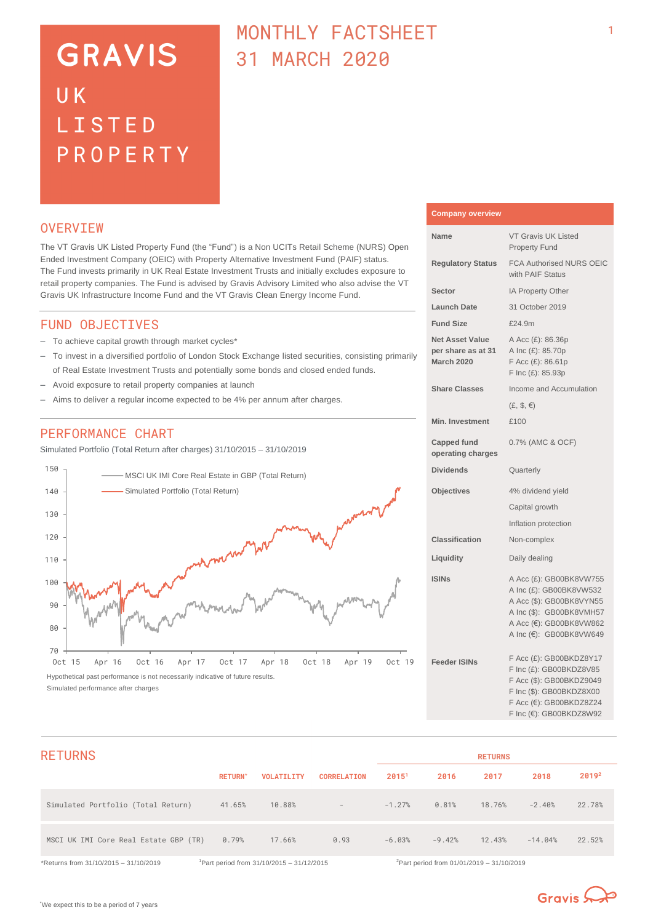# **GRAVIS** UK LISTED PROPERTY

# MONTHLY FACTSHEET 31 MARCH 2020

### **OVERVTEW**

The VT Gravis UK Listed Property Fund (the "Fund") is a Non UCITs Retail Scheme (NURS) Open Ended Investment Company (OEIC) with Property Alternative Investment Fund (PAIF) status. The Fund invests primarily in UK Real Estate Investment Trusts and initially excludes exposure to retail property companies. The Fund is advised by Gravis Advisory Limited who also advise the VT Gravis UK Infrastructure Income Fund and the VT Gravis Clean Energy Income Fund.

### FUND OBJECTIVES

- To achieve capital growth through market cycles\*
- To invest in a diversified portfolio of London Stock Exchange listed securities, consisting primarily of Real Estate Investment Trusts and potentially some bonds and closed ended funds.
- Avoid exposure to retail property companies at launch
- Aims to deliver a regular income expected to be 4% per annum after charges.

## PERFORMANCE CHART

Simulated Portfolio (Total Return after charges) 31/10/2015 – 31/10/2019



## **Company overview**

| Name                                                              | <b>VT Gravis UK Listed</b><br><b>Property Fund</b>                                                                                                               |
|-------------------------------------------------------------------|------------------------------------------------------------------------------------------------------------------------------------------------------------------|
| <b>Regulatory Status</b>                                          | <b>FCA Authorised NURS OEIC</b><br>with PAIF Status                                                                                                              |
| Sector                                                            | IA Property Other                                                                                                                                                |
| <b>Launch Date</b>                                                | 31 October 2019                                                                                                                                                  |
| <b>Fund Size</b>                                                  | £24.9m                                                                                                                                                           |
| <b>Net Asset Value</b><br>per share as at 31<br><b>March 2020</b> | A Acc (£): 86.36p<br>A Inc (£): 85.70p<br>F Acc (£): 86.61p<br>F Inc (£): 85.93p                                                                                 |
| <b>Share Classes</b>                                              | Income and Accumulation                                                                                                                                          |
|                                                                   | $(E, \mathcal{S}, \in)$                                                                                                                                          |
| <b>Min. Investment</b>                                            | £100                                                                                                                                                             |
| <b>Capped fund</b><br>operating charges                           | 0.7% (AMC & OCF)                                                                                                                                                 |
| <b>Dividends</b>                                                  | Quarterly                                                                                                                                                        |
| <b>Objectives</b>                                                 | 4% dividend yield                                                                                                                                                |
|                                                                   | Capital growth                                                                                                                                                   |
|                                                                   | Inflation protection                                                                                                                                             |
| <b>Classification</b>                                             | Non-complex                                                                                                                                                      |
| Liquidity                                                         | Daily dealing                                                                                                                                                    |
| <b>ISINs</b>                                                      | A Acc (£): GB00BK8VW755<br>A Inc (£): GB00BK8VW532<br>A Acc (\$): GB00BK8VYN55<br>A Inc (\$): GB00BK8VMH57<br>A Acc (€): GB00BK8VW862<br>A Inc (€): GB00BK8VW649 |
| <b>Feeder ISINs</b>                                               | F Acc (£): GB00BKDZ8Y17<br>F Inc (£): GB00BKDZ8V85<br>F Acc (\$): GB00BKDZ9049<br>F Inc (\$): GB00BKDZ8X00<br>F Acc (€): GB00BKDZ8Z24<br>F Inc (€): GB00BKDZ8W92 |

| <b>RETURNS</b>                        |                |                                              |                          |                   |                                                       | <b>RETURNS</b> |           |                   |
|---------------------------------------|----------------|----------------------------------------------|--------------------------|-------------------|-------------------------------------------------------|----------------|-----------|-------------------|
|                                       | <b>RETURN*</b> | <b>VOLATILITY</b>                            | <b>CORRELATION</b>       | 2015 <sup>1</sup> | 2016                                                  | 2017           | 2018      | 2019 <sup>2</sup> |
| Simulated Portfolio (Total Return)    | 41.65%         | 10.88%                                       | $\overline{\phantom{a}}$ | $-1.27%$          | 0.81%                                                 | 18.76%         | $-2.40%$  | 22.78%            |
| MSCI UK IMI Core Real Estate GBP (TR) | 0.79%          | 17.66%                                       | 0.93                     | $-6.03%$          | $-9.42%$                                              | 12.43%         | $-14.04%$ | 22.52%            |
| *Returns from 31/10/2015 - 31/10/2019 |                | $1$ Part period from 31/10/2015 - 31/12/2015 |                          |                   | <sup>2</sup> Part period from 01/01/2019 - 31/10/2019 |                |           |                   |

\*We expect this to be a period of 7 years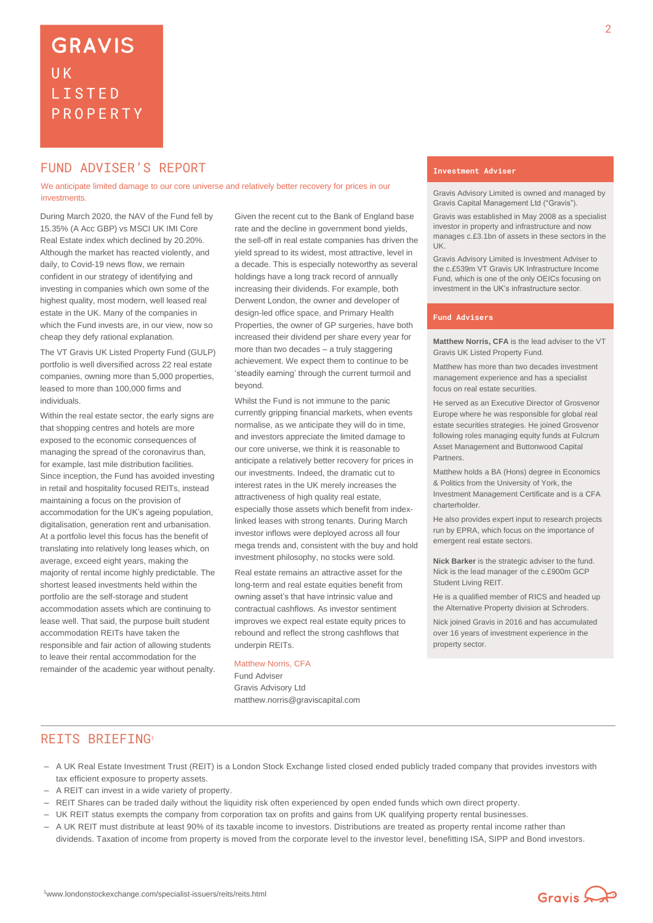# **GRAVIS UK** LISTED PROPERTY

# **FUND ADVISER'S REPORT THE EXAMPLE ADVISER'S**

We anticipate limited damage to our core universe and relatively better recovery for prices in our investments.

During March 2020, the NAV of the Fund fell by 15.35% (A Acc GBP) vs MSCI UK IMI Core Real Estate index which declined by 20.20%. Although the market has reacted violently, and daily, to Covid-19 news flow, we remain confident in our strategy of identifying and investing in companies which own some of the highest quality, most modern, well leased real estate in the UK. Many of the companies in which the Fund invests are, in our view, now so cheap they defy rational explanation.

The VT Gravis UK Listed Property Fund (GULP) portfolio is well diversified across 22 real estate companies, owning more than 5,000 properties, leased to more than 100,000 firms and individuals.

Within the real estate sector, the early signs are that shopping centres and hotels are more exposed to the economic consequences of managing the spread of the coronavirus than, for example, last mile distribution facilities. Since inception, the Fund has avoided investing in retail and hospitality focused REITs, instead maintaining a focus on the provision of accommodation for the UK's ageing population, digitalisation, generation rent and urbanisation. At a portfolio level this focus has the benefit of translating into relatively long leases which, on average, exceed eight years, making the majority of rental income highly predictable. The shortest leased investments held within the portfolio are the self-storage and student accommodation assets which are continuing to lease well. That said, the purpose built student accommodation REITs have taken the responsible and fair action of allowing students to leave their rental accommodation for the remainder of the academic year without penalty.

Given the recent cut to the Bank of England base rate and the decline in government bond yields, the sell-off in real estate companies has driven the yield spread to its widest, most attractive, level in a decade. This is especially noteworthy as several holdings have a long track record of annually increasing their dividends. For example, both Derwent London, the owner and developer of design-led office space, and Primary Health Properties, the owner of GP surgeries, have both increased their dividend per share every year for more than two decades – a truly staggering achievement. We expect them to continue to be 'steadily earning' through the current turmoil and beyond.

Whilst the Fund is not immune to the panic currently gripping financial markets, when events normalise, as we anticipate they will do in time, and investors appreciate the limited damage to our core universe, we think it is reasonable to anticipate a relatively better recovery for prices in our investments. Indeed, the dramatic cut to interest rates in the UK merely increases the attractiveness of high quality real estate, especially those assets which benefit from indexlinked leases with strong tenants. During March investor inflows were deployed across all four mega trends and, consistent with the buy and hold investment philosophy, no stocks were sold.

Real estate remains an attractive asset for the long-term and real estate equities benefit from owning asset's that have intrinsic value and contractual cashflows. As investor sentiment improves we expect real estate equity prices to rebound and reflect the strong cashflows that underpin REITs.

### Matthew Norris, CFA

Fund Adviser Gravis Advisory Ltd matthew.norris@graviscapital.com

Gravis Advisory Limited is owned and managed by Gravis Capital Management Ltd ("Gravis").

Gravis was established in May 2008 as a specialist investor in property and infrastructure and now manages c.£3.1bn of assets in these sectors in the UK.

Gravis Advisory Limited is Investment Adviser to the c.£539m VT Gravis UK Infrastructure Income Fund, which is one of the only OEICs focusing on investment in the UK's infrastructure sector.

### **Fund Advisers**

**Matthew Norris, CFA** is the lead adviser to the VT Gravis UK Listed Property Fund.

Matthew has more than two decades investment management experience and has a specialist focus on real estate securities.

He served as an Executive Director of Grosvenor Europe where he was responsible for global real estate securities strategies. He joined Grosvenor following roles managing equity funds at Fulcrum Asset Management and Buttonwood Capital Partners.

Matthew holds a BA (Hons) degree in Economics & Politics from the University of York, the Investment Management Certificate and is a CFA charterholder.

He also provides expert input to research projects run by EPRA, which focus on the importance of emergent real estate sectors.

**Nick Barker** is the strategic adviser to the fund. Nick is the lead manager of the c.£900m GCP Student Living REIT.

He is a qualified member of RICS and headed up the Alternative Property division at Schroders.

Nick joined Gravis in 2016 and has accumulated over 16 years of investment experience in the property sector.

### REITS BRIEFING<sup>1</sup>

- A UK Real Estate Investment Trust (REIT) is a London Stock Exchange listed closed ended publicly traded company that provides investors with tax efficient exposure to property assets.
- A REIT can invest in a wide variety of property.
- REIT Shares can be traded daily without the liquidity risk often experienced by open ended funds which own direct property.
- UK REIT status exempts the company from corporation tax on profits and gains from UK qualifying property rental businesses.
- A UK REIT must distribute at least 90% of its taxable income to investors. Distributions are treated as property rental income rather than dividends. Taxation of income from property is moved from the corporate level to the investor level, benefitting ISA, SIPP and Bond investors.